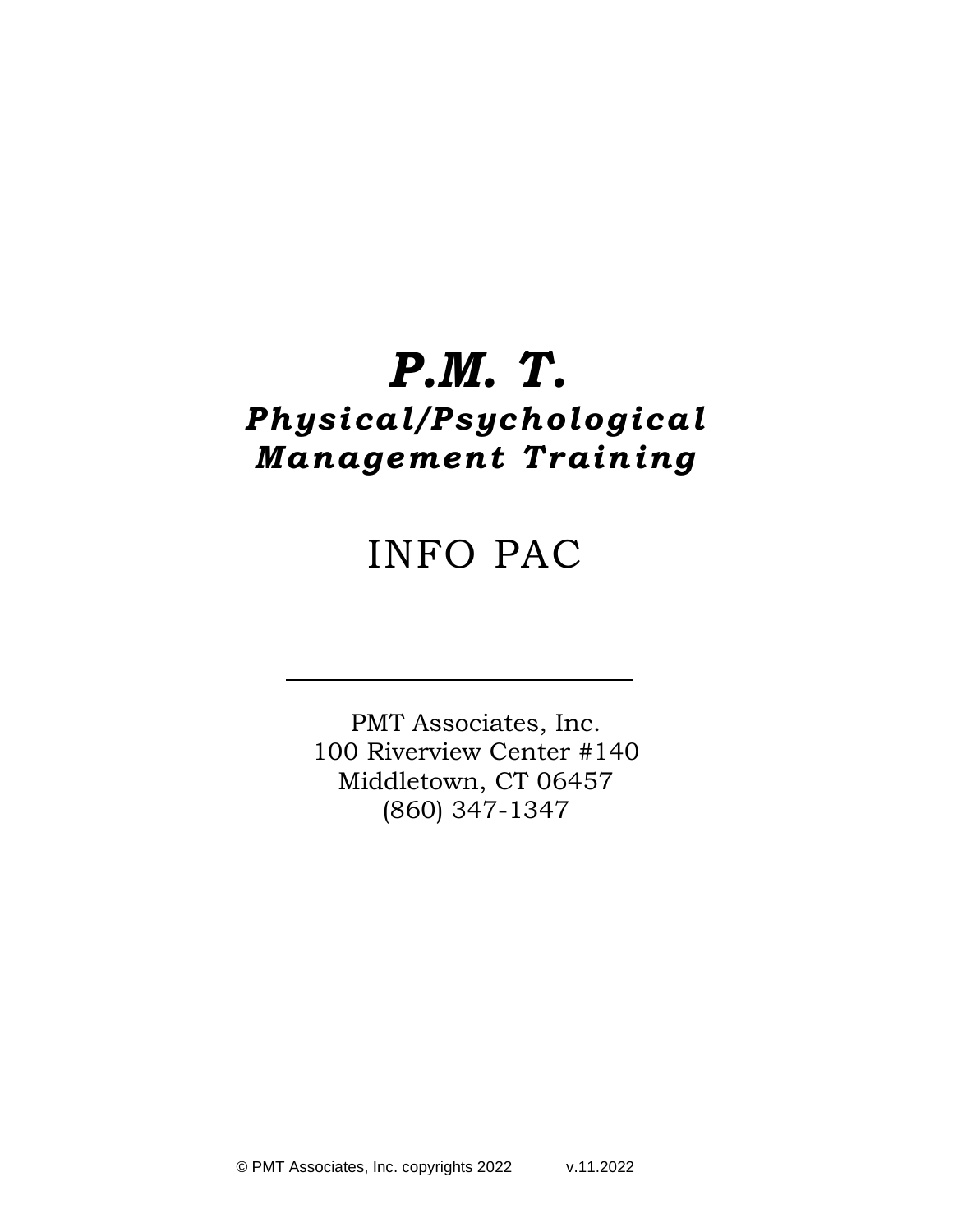# *P.M. T.*

## *Physical /Psychological Management Tra in ing*

## INFO PAC

PMT Associates, Inc. 100 Riverview Center #140 Middletown, CT 06457 (860) 347-1347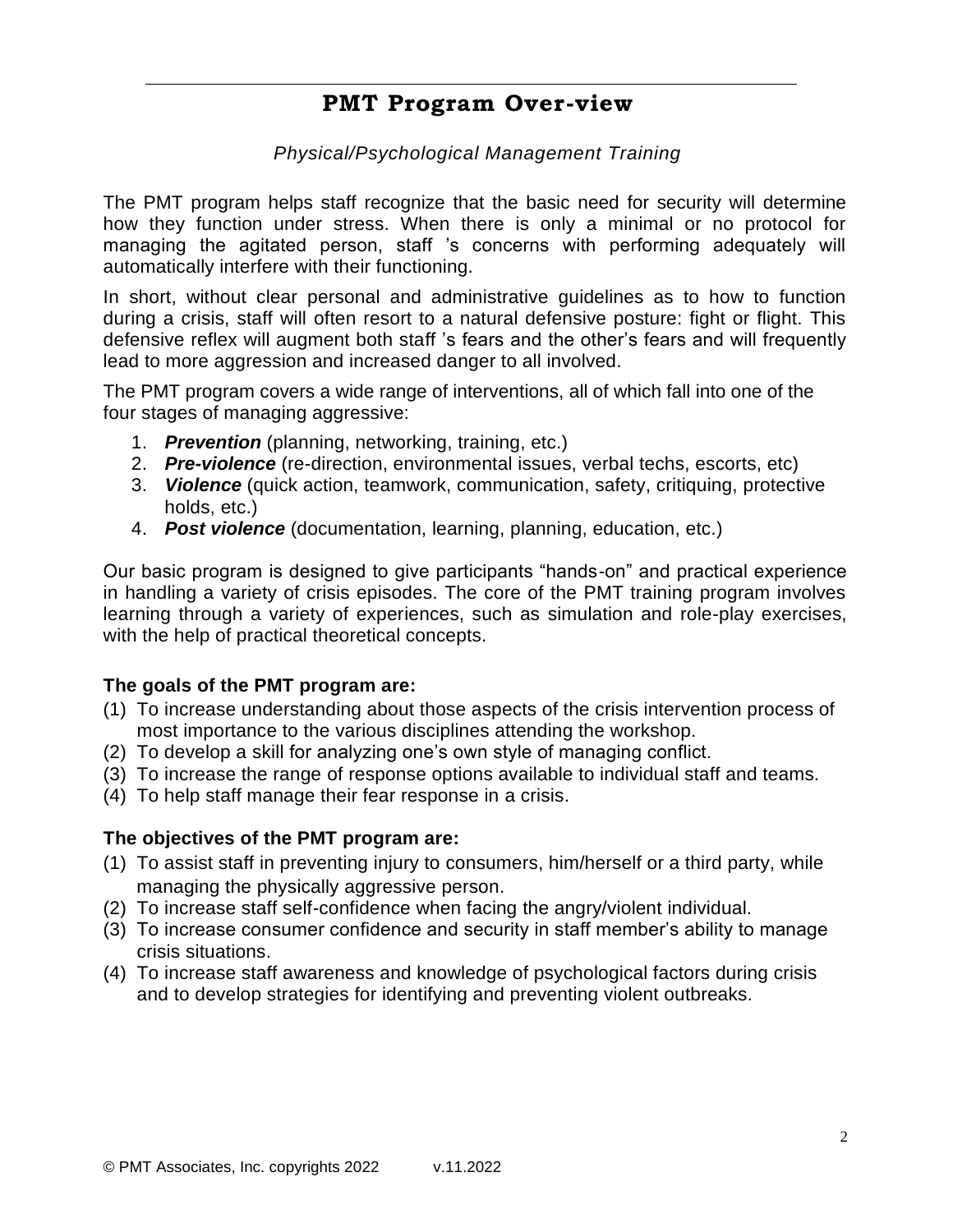### **PMT Program Over-view**

#### *Physical/Psychological Management Training*

The PMT program helps staff recognize that the basic need for security will determine how they function under stress. When there is only a minimal or no protocol for managing the agitated person, staff 's concerns with performing adequately will automatically interfere with their functioning.

In short, without clear personal and administrative guidelines as to how to function during a crisis, staff will often resort to a natural defensive posture: fight or flight. This defensive reflex will augment both staff 's fears and the other's fears and will frequently lead to more aggression and increased danger to all involved.

The PMT program covers a wide range of interventions, all of which fall into one of the four stages of managing aggressive:

- 1. *Prevention* (planning, networking, training, etc.)
- 2. *Pre-violence* (re-direction, environmental issues, verbal techs, escorts, etc)
- 3. *Violence* (quick action, teamwork, communication, safety, critiquing, protective holds, etc.)
- 4. *Post violence* (documentation, learning, planning, education, etc.)

Our basic program is designed to give participants "hands-on" and practical experience in handling a variety of crisis episodes. The core of the PMT training program involves learning through a variety of experiences, such as simulation and role-play exercises, with the help of practical theoretical concepts.

#### **The goals of the PMT program are:**

- (1) To increase understanding about those aspects of the crisis intervention process of most importance to the various disciplines attending the workshop.
- (2) To develop a skill for analyzing one's own style of managing conflict.
- (3) To increase the range of response options available to individual staff and teams.
- (4) To help staff manage their fear response in a crisis.

#### **The objectives of the PMT program are:**

- (1) To assist staff in preventing injury to consumers, him/herself or a third party, while managing the physically aggressive person.
- (2) To increase staff self-confidence when facing the angry/violent individual.
- (3) To increase consumer confidence and security in staff member's ability to manage crisis situations.
- (4) To increase staff awareness and knowledge of psychological factors during crisis and to develop strategies for identifying and preventing violent outbreaks.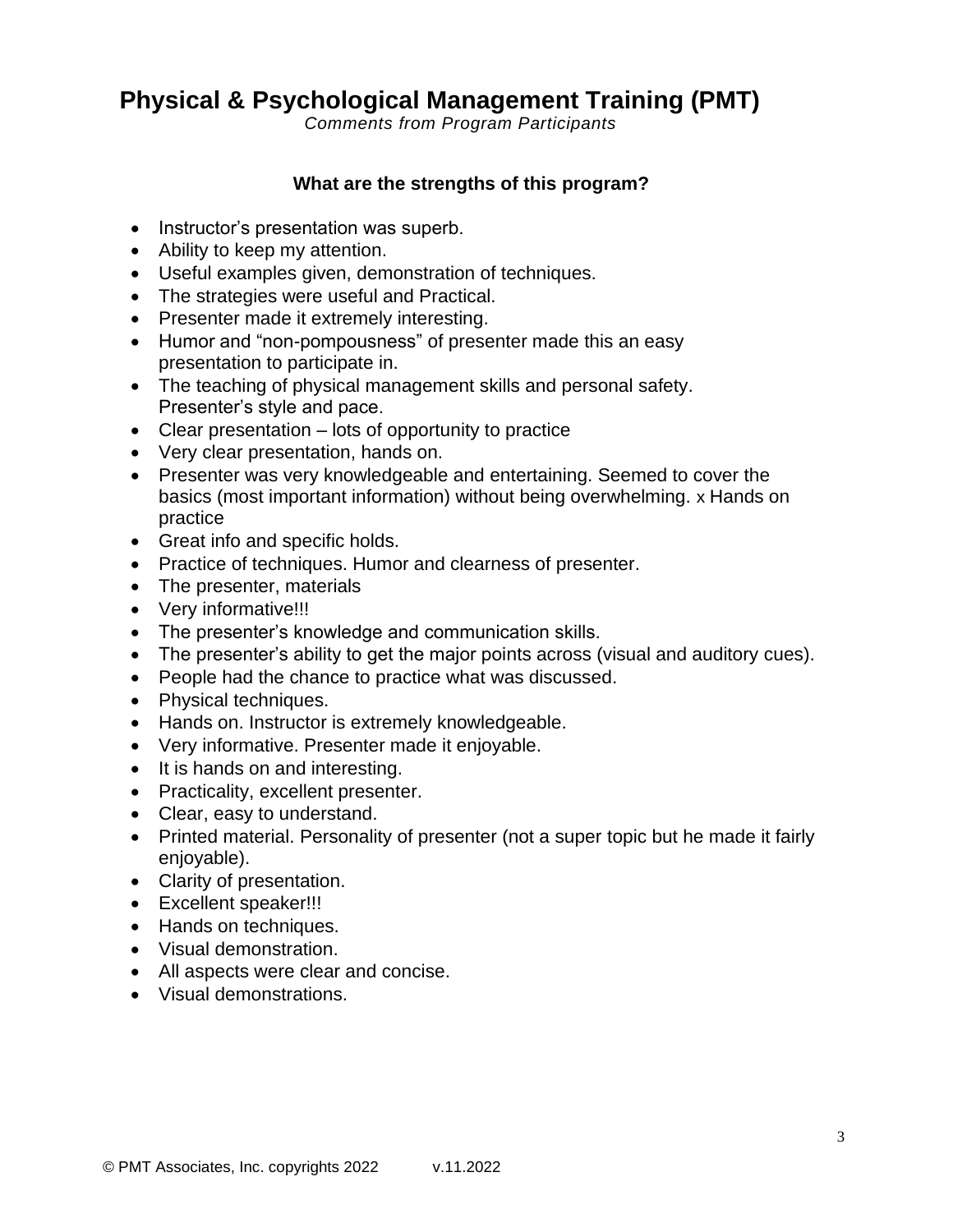## **Physical & Psychological Management Training (PMT)**

*Comments from Program Participants*

#### **What are the strengths of this program?**

- Instructor's presentation was superb.
- Ability to keep my attention.
- Useful examples given, demonstration of techniques.
- The strategies were useful and Practical.
- Presenter made it extremely interesting.
- Humor and "non-pompousness" of presenter made this an easy presentation to participate in.
- The teaching of physical management skills and personal safety. Presenter's style and pace.
- Clear presentation lots of opportunity to practice
- Very clear presentation, hands on.
- Presenter was very knowledgeable and entertaining. Seemed to cover the basics (most important information) without being overwhelming. x Hands on practice
- Great info and specific holds.
- Practice of techniques. Humor and clearness of presenter.
- The presenter, materials
- Very informative!!!
- The presenter's knowledge and communication skills.
- The presenter's ability to get the major points across (visual and auditory cues).
- People had the chance to practice what was discussed.
- Physical techniques.
- Hands on. Instructor is extremely knowledgeable.
- Very informative. Presenter made it enjoyable.
- It is hands on and interesting.
- Practicality, excellent presenter.
- Clear, easy to understand.
- Printed material. Personality of presenter (not a super topic but he made it fairly enjoyable).
- Clarity of presentation.
- Excellent speaker!!!
- Hands on techniques.
- Visual demonstration.
- All aspects were clear and concise.
- Visual demonstrations.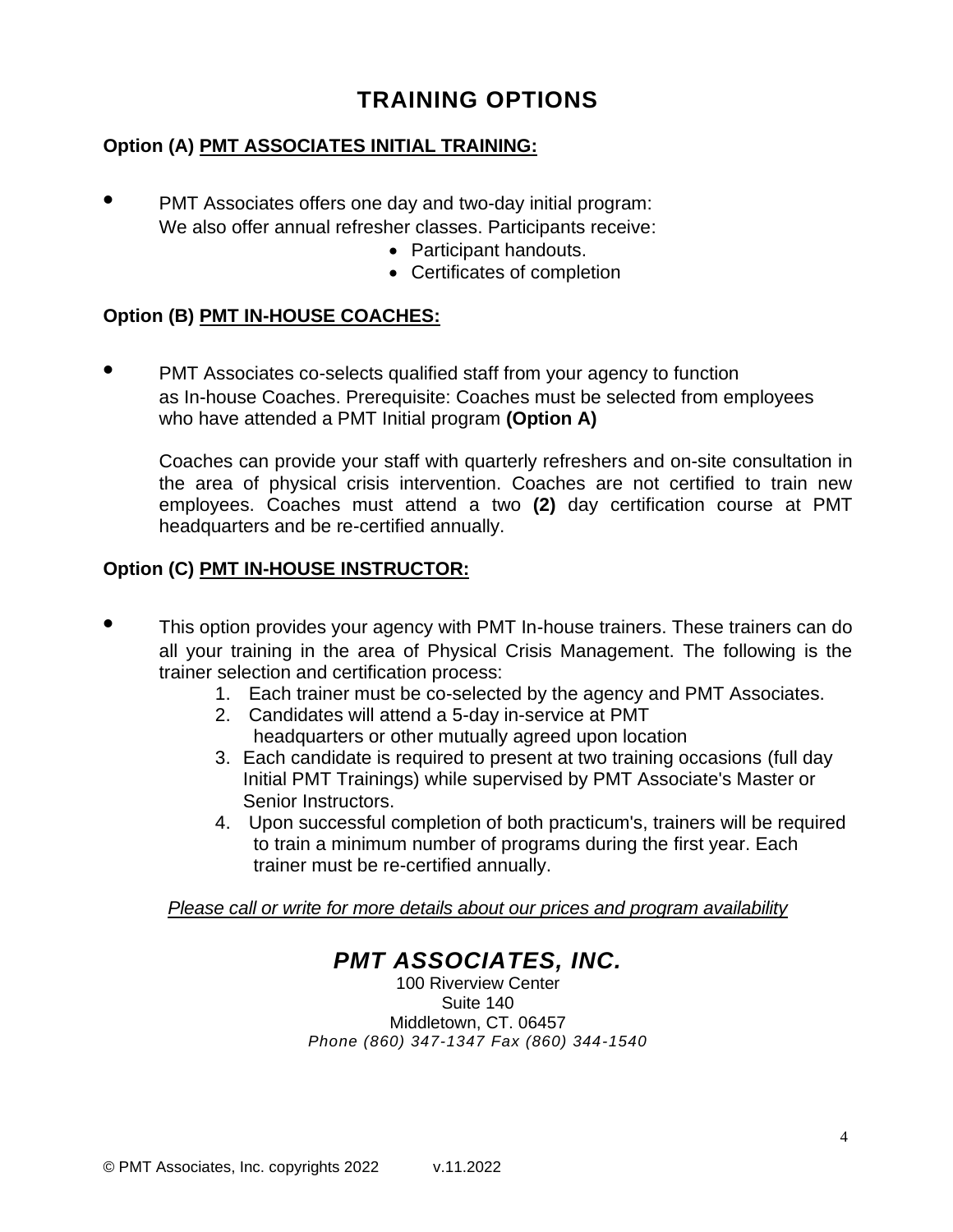## **TRAINING OPTIONS**

#### **Option (A) PMT ASSOCIATES INITIAL TRAINING:**

- **•** PMT Associates offers one day and two-day initial program: We also offer annual refresher classes. Participants receive:
	- Participant handouts.
	- Certificates of completion

#### **Option (B) PMT IN-HOUSE COACHES:**

**•** PMT Associates co-selects qualified staff from your agency to function as In-house Coaches. Prerequisite: Coaches must be selected from employees who have attended a PMT Initial program **(Option A)**

Coaches can provide your staff with quarterly refreshers and on-site consultation in the area of physical crisis intervention. Coaches are not certified to train new employees. Coaches must attend a two **(2)** day certification course at PMT headquarters and be re-certified annually.

#### **Option (C) PMT IN-HOUSE INSTRUCTOR:**

- **•** This option provides your agency with PMT In-house trainers. These trainers can do all your training in the area of Physical Crisis Management. The following is the trainer selection and certification process:
	- 1. Each trainer must be co-selected by the agency and PMT Associates.
	- 2. Candidates will attend a 5-day in-service at PMT headquarters or other mutually agreed upon location
	- 3. Each candidate is required to present at two training occasions (full day Initial PMT Trainings) while supervised by PMT Associate's Master or Senior Instructors.
	- 4. Upon successful completion of both practicum's, trainers will be required to train a minimum number of programs during the first year. Each trainer must be re-certified annually.

*Please call or write for more details about our prices and program availability*

## *PMT ASSOCIATES, INC.*

100 Riverview Center Suite 140 Middletown, CT. 06457 *Phone (860) 347-1347 Fax (860) 344-1540*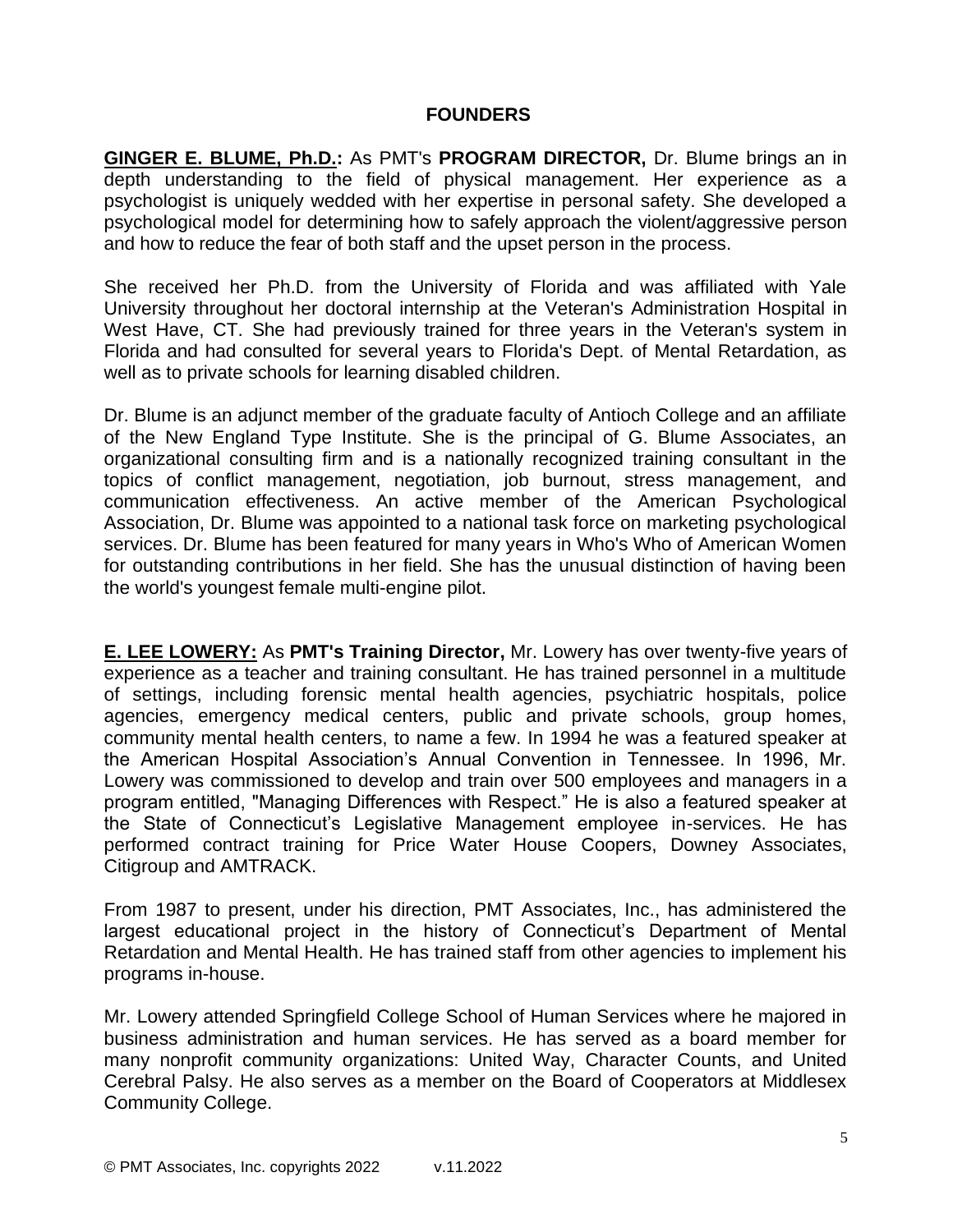#### **FOUNDERS**

**GINGER E. BLUME, Ph.D.:** As PMT's **PROGRAM DIRECTOR,** Dr. Blume brings an in depth understanding to the field of physical management. Her experience as a psychologist is uniquely wedded with her expertise in personal safety. She developed a psychological model for determining how to safely approach the violent/aggressive person and how to reduce the fear of both staff and the upset person in the process.

She received her Ph.D. from the University of Florida and was affiliated with Yale University throughout her doctoral internship at the Veteran's Administration Hospital in West Have, CT. She had previously trained for three years in the Veteran's system in Florida and had consulted for several years to Florida's Dept. of Mental Retardation, as well as to private schools for learning disabled children.

Dr. Blume is an adjunct member of the graduate faculty of Antioch College and an affiliate of the New England Type Institute. She is the principal of G. Blume Associates, an organizational consulting firm and is a nationally recognized training consultant in the topics of conflict management, negotiation, job burnout, stress management, and communication effectiveness. An active member of the American Psychological Association, Dr. Blume was appointed to a national task force on marketing psychological services. Dr. Blume has been featured for many years in Who's Who of American Women for outstanding contributions in her field. She has the unusual distinction of having been the world's youngest female multi-engine pilot.

**E. LEE LOWERY:** As **PMT's Training Director,** Mr. Lowery has over twenty-five years of experience as a teacher and training consultant. He has trained personnel in a multitude of settings, including forensic mental health agencies, psychiatric hospitals, police agencies, emergency medical centers, public and private schools, group homes, community mental health centers, to name a few. In 1994 he was a featured speaker at the American Hospital Association's Annual Convention in Tennessee. In 1996, Mr. Lowery was commissioned to develop and train over 500 employees and managers in a program entitled, "Managing Differences with Respect." He is also a featured speaker at the State of Connecticut's Legislative Management employee in-services. He has performed contract training for Price Water House Coopers, Downey Associates, Citigroup and AMTRACK.

From 1987 to present, under his direction, PMT Associates, Inc., has administered the largest educational project in the history of Connecticut's Department of Mental Retardation and Mental Health. He has trained staff from other agencies to implement his programs in-house.

Mr. Lowery attended Springfield College School of Human Services where he majored in business administration and human services. He has served as a board member for many nonprofit community organizations: United Way, Character Counts, and United Cerebral Palsy. He also serves as a member on the Board of Cooperators at Middlesex Community College.